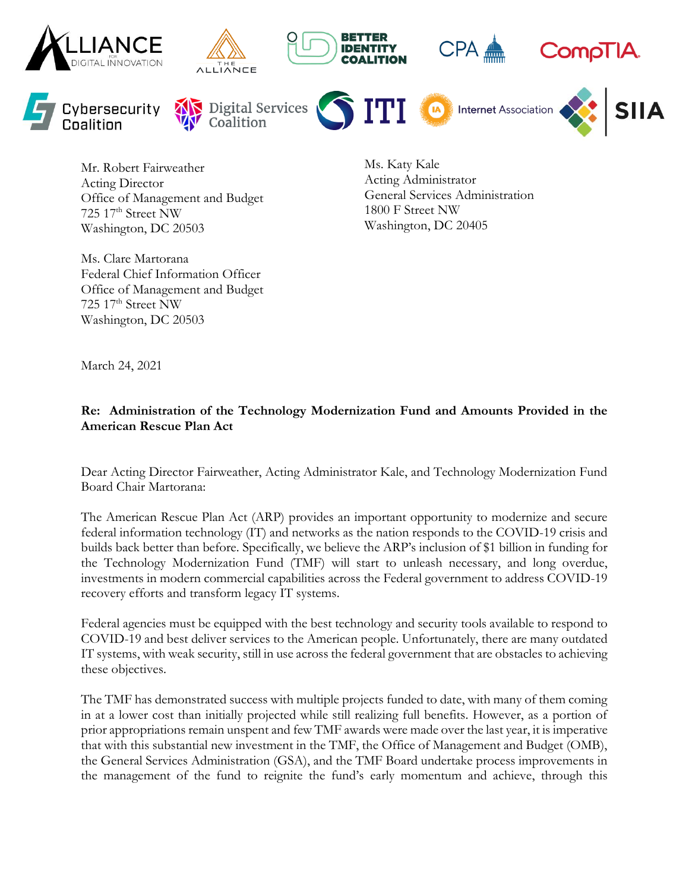

Mr. Robert Fairweather Acting Director Office of Management and Budget 725 17th Street NW Washington, DC 20503

Ms. Katy Kale Acting Administrator General Services Administration 1800 F Street NW Washington, DC 20405

Ms. Clare Martorana Federal Chief Information Officer Office of Management and Budget 725 17th Street NW Washington, DC 20503

March 24, 2021

### **Re: Administration of the Technology Modernization Fund and Amounts Provided in the American Rescue Plan Act**

Dear Acting Director Fairweather, Acting Administrator Kale, and Technology Modernization Fund Board Chair Martorana:

The American Rescue Plan Act (ARP) provides an important opportunity to modernize and secure federal information technology (IT) and networks as the nation responds to the COVID-19 crisis and builds back better than before. Specifically, we believe the ARP's inclusion of \$1 billion in funding for the Technology Modernization Fund (TMF) will start to unleash necessary, and long overdue, investments in modern commercial capabilities across the Federal government to address COVID-19 recovery efforts and transform legacy IT systems.

Federal agencies must be equipped with the best technology and security tools available to respond to COVID-19 and best deliver services to the American people. Unfortunately, there are many outdated IT systems, with weak security, still in use across the federal government that are obstacles to achieving these objectives.

The TMF has demonstrated success with multiple projects funded to date, with many of them coming in at a lower cost than initially projected while still realizing full benefits. However, as a portion of prior appropriations remain unspent and few TMF awards were made over the last year, it is imperative that with this substantial new investment in the TMF, the Office of Management and Budget (OMB), the General Services Administration (GSA), and the TMF Board undertake process improvements in the management of the fund to reignite the fund's early momentum and achieve, through this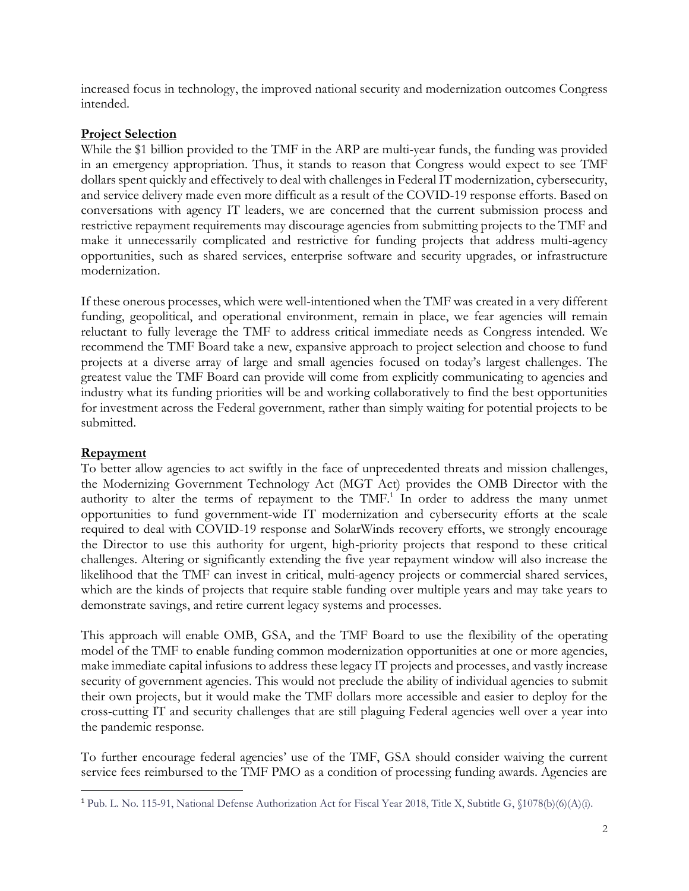increased focus in technology, the improved national security and modernization outcomes Congress intended.

#### **Project Selection**

While the \$1 billion provided to the TMF in the ARP are multi-year funds, the funding was provided in an emergency appropriation. Thus, it stands to reason that Congress would expect to see TMF dollars spent quickly and effectively to deal with challenges in Federal IT modernization, cybersecurity, and service delivery made even more difficult as a result of the COVID-19 response efforts. Based on conversations with agency IT leaders, we are concerned that the current submission process and restrictive repayment requirements may discourage agencies from submitting projects to the TMF and make it unnecessarily complicated and restrictive for funding projects that address multi-agency opportunities, such as shared services, enterprise software and security upgrades, or infrastructure modernization.

If these onerous processes, which were well-intentioned when the TMF was created in a very different funding, geopolitical, and operational environment, remain in place, we fear agencies will remain reluctant to fully leverage the TMF to address critical immediate needs as Congress intended. We recommend the TMF Board take a new, expansive approach to project selection and choose to fund projects at a diverse array of large and small agencies focused on today's largest challenges. The greatest value the TMF Board can provide will come from explicitly communicating to agencies and industry what its funding priorities will be and working collaboratively to find the best opportunities for investment across the Federal government, rather than simply waiting for potential projects to be submitted.

# **Repayment**

To better allow agencies to act swiftly in the face of unprecedented threats and mission challenges, the Modernizing Government Technology Act (MGT Act) provides the OMB Director with the authority to alter the terms of repayment to the  $TMF<sup>1</sup>$ . In order to address the many unmet opportunities to fund government-wide IT modernization and cybersecurity efforts at the scale required to deal with COVID-19 response and SolarWinds recovery efforts, we strongly encourage the Director to use this authority for urgent, high-priority projects that respond to these critical challenges. Altering or significantly extending the five year repayment window will also increase the likelihood that the TMF can invest in critical, multi-agency projects or commercial shared services, which are the kinds of projects that require stable funding over multiple years and may take years to demonstrate savings, and retire current legacy systems and processes.

This approach will enable OMB, GSA, and the TMF Board to use the flexibility of the operating model of the TMF to enable funding common modernization opportunities at one or more agencies, make immediate capital infusions to address these legacy IT projects and processes, and vastly increase security of government agencies. This would not preclude the ability of individual agencies to submit their own projects, but it would make the TMF dollars more accessible and easier to deploy for the cross-cutting IT and security challenges that are still plaguing Federal agencies well over a year into the pandemic response.

To further encourage federal agencies' use of the TMF, GSA should consider waiving the current service fees reimbursed to the TMF PMO as a condition of processing funding awards. Agencies are

<sup>1</sup> Pub. L. No. 115-91, National Defense Authorization Act for Fiscal Year 2018, Title X, Subtitle G, §1078(b)(6)(A)(i).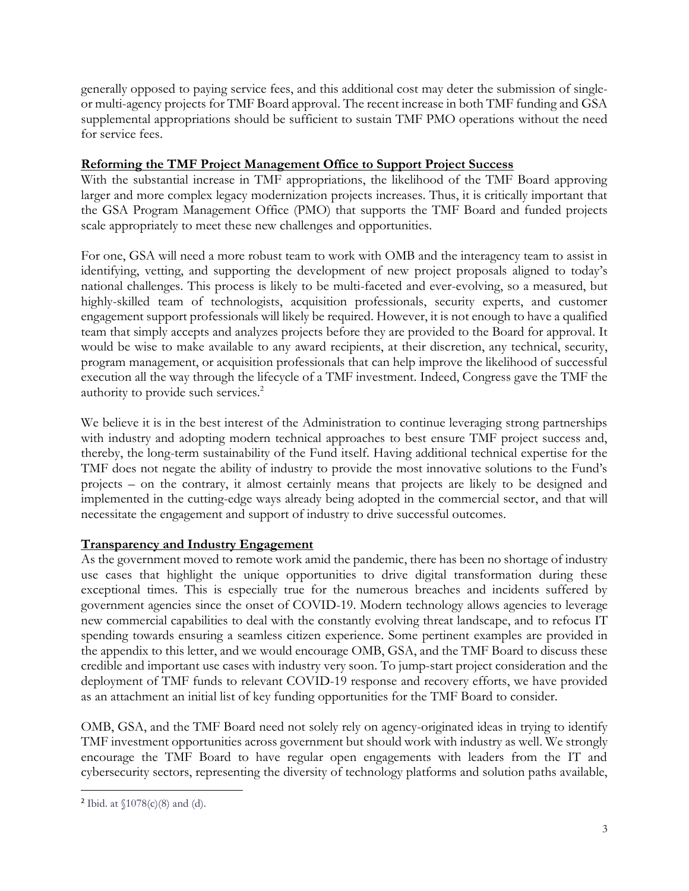generally opposed to paying service fees, and this additional cost may deter the submission of singleor multi-agency projects for TMF Board approval. The recent increase in both TMF funding and GSA supplemental appropriations should be sufficient to sustain TMF PMO operations without the need for service fees.

### **Reforming the TMF Project Management Office to Support Project Success**

With the substantial increase in TMF appropriations, the likelihood of the TMF Board approving larger and more complex legacy modernization projects increases. Thus, it is critically important that the GSA Program Management Office (PMO) that supports the TMF Board and funded projects scale appropriately to meet these new challenges and opportunities.

For one, GSA will need a more robust team to work with OMB and the interagency team to assist in identifying, vetting, and supporting the development of new project proposals aligned to today's national challenges. This process is likely to be multi-faceted and ever-evolving, so a measured, but highly-skilled team of technologists, acquisition professionals, security experts, and customer engagement support professionals will likely be required. However, it is not enough to have a qualified team that simply accepts and analyzes projects before they are provided to the Board for approval. It would be wise to make available to any award recipients, at their discretion, any technical, security, program management, or acquisition professionals that can help improve the likelihood of successful execution all the way through the lifecycle of a TMF investment. Indeed, Congress gave the TMF the authority to provide such services.<sup>2</sup>

We believe it is in the best interest of the Administration to continue leveraging strong partnerships with industry and adopting modern technical approaches to best ensure TMF project success and, thereby, the long-term sustainability of the Fund itself. Having additional technical expertise for the TMF does not negate the ability of industry to provide the most innovative solutions to the Fund's projects – on the contrary, it almost certainly means that projects are likely to be designed and implemented in the cutting-edge ways already being adopted in the commercial sector, and that will necessitate the engagement and support of industry to drive successful outcomes.

# **Transparency and Industry Engagement**

As the government moved to remote work amid the pandemic, there has been no shortage of industry use cases that highlight the unique opportunities to drive digital transformation during these exceptional times. This is especially true for the numerous breaches and incidents suffered by government agencies since the onset of COVID-19. Modern technology allows agencies to leverage new commercial capabilities to deal with the constantly evolving threat landscape, and to refocus IT spending towards ensuring a seamless citizen experience. Some pertinent examples are provided in the appendix to this letter, and we would encourage OMB, GSA, and the TMF Board to discuss these credible and important use cases with industry very soon. To jump-start project consideration and the deployment of TMF funds to relevant COVID-19 response and recovery efforts, we have provided as an attachment an initial list of key funding opportunities for the TMF Board to consider.

OMB, GSA, and the TMF Board need not solely rely on agency-originated ideas in trying to identify TMF investment opportunities across government but should work with industry as well. We strongly encourage the TMF Board to have regular open engagements with leaders from the IT and cybersecurity sectors, representing the diversity of technology platforms and solution paths available,

<sup>&</sup>lt;sup>2</sup> Ibid. at  $$1078(c)(8)$  and (d).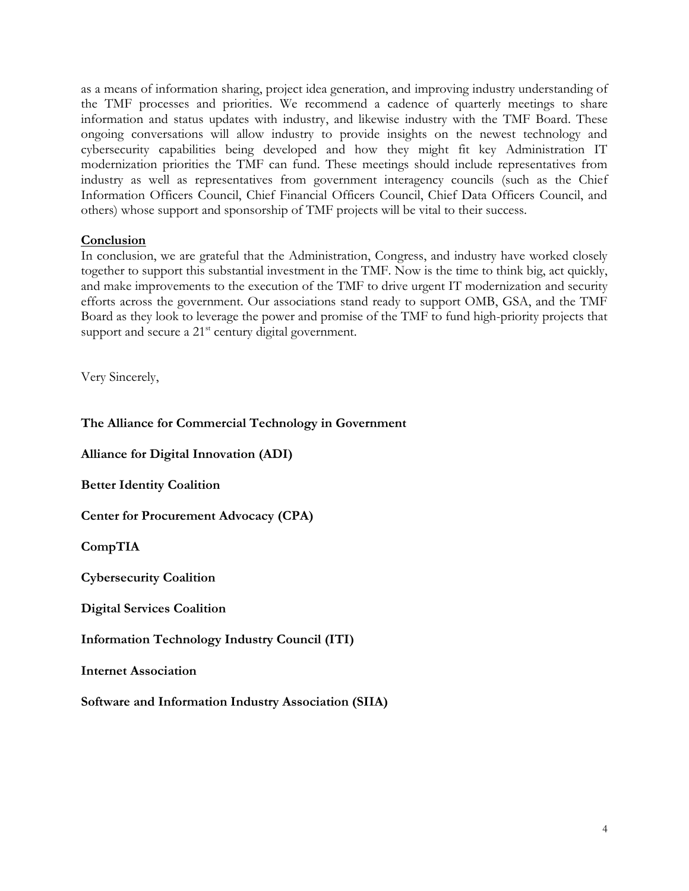as a means of information sharing, project idea generation, and improving industry understanding of the TMF processes and priorities. We recommend a cadence of quarterly meetings to share information and status updates with industry, and likewise industry with the TMF Board. These ongoing conversations will allow industry to provide insights on the newest technology and cybersecurity capabilities being developed and how they might fit key Administration IT modernization priorities the TMF can fund. These meetings should include representatives from industry as well as representatives from government interagency councils (such as the Chief Information Officers Council, Chief Financial Officers Council, Chief Data Officers Council, and others) whose support and sponsorship of TMF projects will be vital to their success.

#### **Conclusion**

In conclusion, we are grateful that the Administration, Congress, and industry have worked closely together to support this substantial investment in the TMF. Now is the time to think big, act quickly, and make improvements to the execution of the TMF to drive urgent IT modernization and security efforts across the government. Our associations stand ready to support OMB, GSA, and the TMF Board as they look to leverage the power and promise of the TMF to fund high-priority projects that support and secure a  $21<sup>st</sup>$  century digital government.

Very Sincerely,

**The Alliance for Commercial Technology in Government**

**Alliance for Digital Innovation (ADI)**

**Better Identity Coalition**

**Center for Procurement Advocacy (CPA)**

**CompTIA**

**Cybersecurity Coalition**

**Digital Services Coalition**

**Information Technology Industry Council (ITI)**

**Internet Association**

**Software and Information Industry Association (SIIA)**